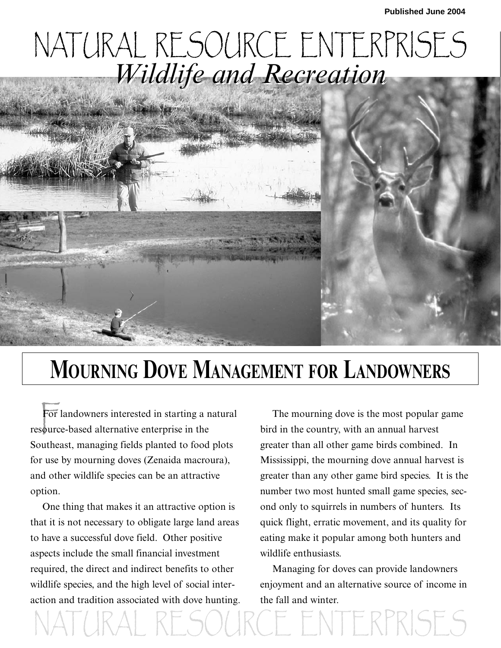## NATURAL RESOURCE ENTERPRISES *Wildlife and Recreation Wildlife and Recreation*



## **MOURNING DOVE MANAGEMENT FOR LANDOWNERS**

For landowners interested in starting a resource-based alternative enterprise in the For landowners interested in starting a natural Southeast, managing fields planted to food plots for use by mourning doves (Zenaida macroura), and other wildlife species can be an attractive option.

One thing that makes it an attractive option is that it is not necessary to obligate large land areas to have a successful dove field. Other positive aspects include the small financial investment required, the direct and indirect benefits to other wildlife species, and the high level of social interaction and tradition associated with dove hunting.

The mourning dove is the most popular game bird in the country, with an annual harvest greater than all other game birds combined. In Mississippi, the mourning dove annual harvest is greater than any other game bird species. It is the number two most hunted small game species, second only to squirrels in numbers of hunters. Its quick flight, erratic movement, and its quality for eating make it popular among both hunters and wildlife enthusiasts.

Managing for doves can provide landowners enjoyment and an alternative source of income in the fall and winter.

**NTERPRISES**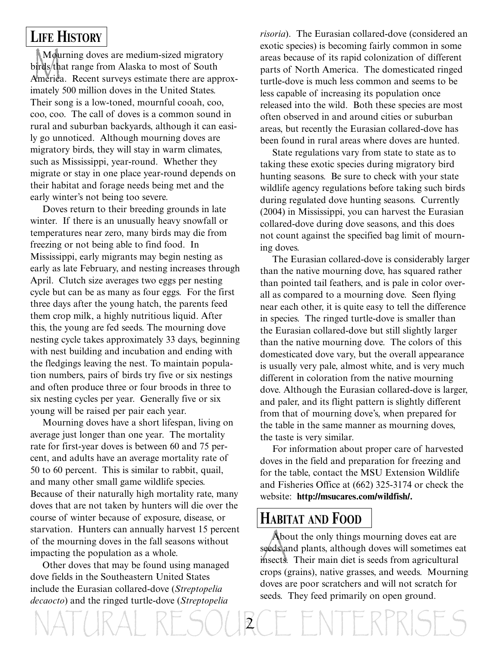#### **LIFE HISTORY**

Mou<br>birds th<br>America Mourning doves are medium-sized migratory birds that range from Alaska to most of South America. Recent surveys estimate there are approximately 500 million doves in the United States. Their song is a low-toned, mournful cooah, coo, coo, coo. The call of doves is a common sound in rural and suburban backyards, although it can easily go unnoticed. Although mourning doves are migratory birds, they will stay in warm climates, such as Mississippi, year-round. Whether they migrate or stay in one place year-round depends on their habitat and forage needs being met and the early winter's not being too severe.

Doves return to their breeding grounds in late winter. If there is an unusually heavy snowfall or temperatures near zero, many birds may die from freezing or not being able to find food. In Mississippi, early migrants may begin nesting as early as late February, and nesting increases through April. Clutch size averages two eggs per nesting cycle but can be as many as four eggs. For the first three days after the young hatch, the parents feed them crop milk, a highly nutritious liquid. After this, the young are fed seeds. The mourning dove nesting cycle takes approximately 33 days, beginning with nest building and incubation and ending with the fledgings leaving the nest. To maintain population numbers, pairs of birds try five or six nestings and often produce three or four broods in three to six nesting cycles per year. Generally five or six young will be raised per pair each year.

Mourning doves have a short lifespan, living on average just longer than one year. The mortality rate for first-year doves is between 60 and 75 percent, and adults have an average mortality rate of 50 to 60 percent. This is similar to rabbit, quail, and many other small game wildlife species. Because of their naturally high mortality rate, many doves that are not taken by hunters will die over the course of winter because of exposure, disease, or starvation. Hunters can annually harvest 15 percent of the mourning doves in the fall seasons without impacting the population as a whole.

Other doves that may be found using managed dove fields in the Southeastern United States include the Eurasian collared-dove (*Streptopelia decaocto*) and the ringed turtle-dove (*Streptopelia*

*risoria*). The Eurasian collared-dove (considered an exotic species) is becoming fairly common in some areas because of its rapid colonization of different parts of North America. The domesticated ringed turtle-dove is much less common and seems to be less capable of increasing its population once released into the wild. Both these species are most often observed in and around cities or suburban areas, but recently the Eurasian collared-dove has been found in rural areas where doves are hunted.

State regulations vary from state to state as to taking these exotic species during migratory bird hunting seasons. Be sure to check with your state wildlife agency regulations before taking such birds during regulated dove hunting seasons. Currently (2004) in Mississippi, you can harvest the Eurasian collared-dove during dove seasons, and this does not count against the specified bag limit of mourning doves.

The Eurasian collared-dove is considerably larger than the native mourning dove, has squared rather than pointed tail feathers, and is pale in color overall as compared to a mourning dove. Seen flying near each other, it is quite easy to tell the difference in species. The ringed turtle-dove is smaller than the Eurasian collared-dove but still slightly larger than the native mourning dove. The colors of this domesticated dove vary, but the overall appearance is usually very pale, almost white, and is very much different in coloration from the native mourning dove. Although the Eurasian collared-dove is larger, and paler, and its flight pattern is slightly different from that of mourning dove's, when prepared for the table in the same manner as mourning doves, the taste is very similar.

For information about proper care of harvested doves in the field and preparation for freezing and for the table, contact the MSU Extension Wildlife and Fisheries Office at (662) 325-3174 or check the website: **http://msucares.com/wildfish/.**

#### **HABITAT AND FOOD**

Aboseds<br>insects. About the only things mourning doves eat are seeds and plants, although doves will sometimes eat insects. Their main diet is seeds from agricultural crops (grains), native grasses, and weeds. Mourning doves are poor scratchers and will not scratch for seeds. They feed primarily on open ground.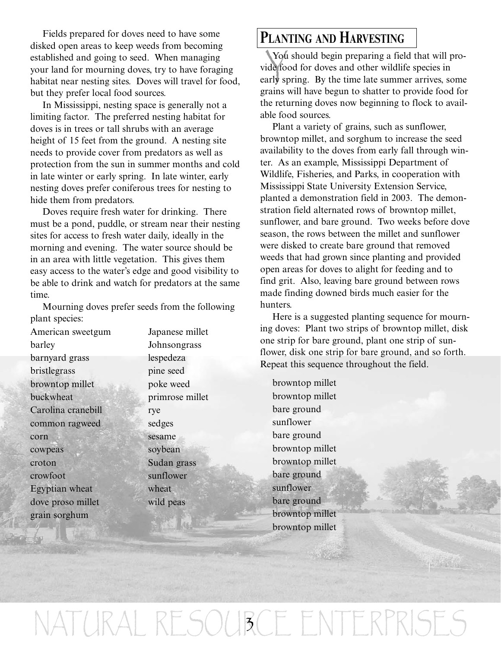Fields prepared for doves need to have some disked open areas to keep weeds from becoming established and going to seed. When managing your land for mourning doves, try to have foraging habitat near nesting sites. Doves will travel for food, but they prefer local food sources.

In Mississippi, nesting space is generally not a limiting factor. The preferred nesting habitat for doves is in trees or tall shrubs with an average height of 15 feet from the ground. A nesting site needs to provide cover from predators as well as protection from the sun in summer months and cold in late winter or early spring. In late winter, early nesting doves prefer coniferous trees for nesting to hide them from predators.

Doves require fresh water for drinking. There must be a pond, puddle, or stream near their nesting sites for access to fresh water daily, ideally in the morning and evening. The water source should be in an area with little vegetation. This gives them easy access to the water's edge and good visibility to be able to drink and watch for predators at the same time.

Mourning doves prefer seeds from the following plant species:

American sweetgum Japanese millet barley Johnsongrass barnyard grass lespedeza bristlegrass pine seed browntop millet poke weed buckwheat primrose millet Carolina cranebill rye common ragweed sedges corn sesame sesame cowpeas soybean croton Sudan grass crowfoot sunflower Egyptian wheat wheat dove proso millet wild peas grain sorghum

#### **PLANTING AND HARVESTING**

You<br>ide fo<br>arly sp You should begin preparing a field that will provide food for doves and other wildlife species in early spring. By the time late summer arrives, some grains will have begun to shatter to provide food for the returning doves now beginning to flock to available food sources.

Plant a variety of grains, such as sunflower, browntop millet, and sorghum to increase the seed availability to the doves from early fall through winter. As an example, Mississippi Department of Wildlife, Fisheries, and Parks, in cooperation with Mississippi State University Extension Service, planted a demonstration field in 2003. The demonstration field alternated rows of browntop millet, sunflower, and bare ground. Two weeks before dove season, the rows between the millet and sunflower were disked to create bare ground that removed weeds that had grown since planting and provided open areas for doves to alight for feeding and to find grit. Also, leaving bare ground between rows made finding downed birds much easier for the hunters.

Here is a suggested planting sequence for mourning doves: Plant two strips of browntop millet, disk one strip for bare ground, plant one strip of sunflower, disk one strip for bare ground, and so forth. Repeat this sequence throughout the field.

browntop millet browntop millet bare ground sunflower bare ground browntop millet browntop millet bare ground sunflower bare ground browntop millet browntop millet

NATURAL RESOURCE ENTERPRISES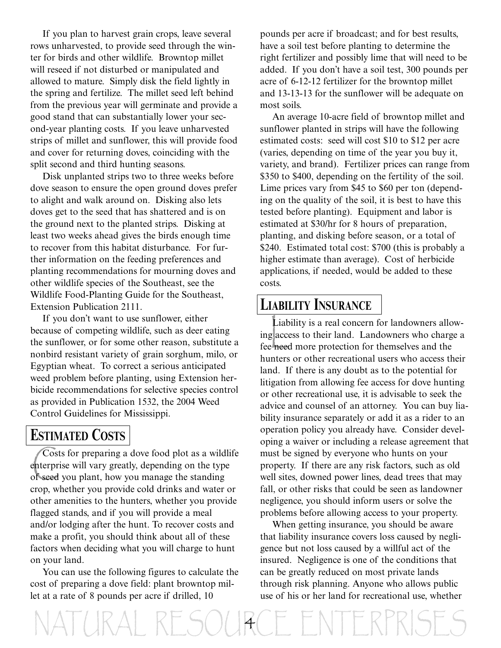If you plan to harvest grain crops, leave several rows unharvested, to provide seed through the winter for birds and other wildlife. Browntop millet will reseed if not disturbed or manipulated and allowed to mature. Simply disk the field lightly in the spring and fertilize. The millet seed left behind from the previous year will germinate and provide a good stand that can substantially lower your second-year planting costs. If you leave unharvested strips of millet and sunflower, this will provide food and cover for returning doves, coinciding with the split second and third hunting seasons.

Disk unplanted strips two to three weeks before dove season to ensure the open ground doves prefer to alight and walk around on. Disking also lets doves get to the seed that has shattered and is on the ground next to the planted strips. Disking at least two weeks ahead gives the birds enough time to recover from this habitat disturbance. For further information on the feeding preferences and planting recommendations for mourning doves and other wildlife species of the Southeast, see the Wildlife Food-Planting Guide for the Southeast, Extension Publication 2111.

If you don't want to use sunflower, either because of competing wildlife, such as deer eating the sunflower, or for some other reason, substitute a nonbird resistant variety of grain sorghum, milo, or Egyptian wheat. To correct a serious anticipated weed problem before planting, using Extension herbicide recommendations for selective species control as provided in Publication 1532, the 2004 Weed Control Guidelines for Mississippi.

#### **ESTIMATED COSTS**

Cost<br>enterpr<br>of seed Costs for preparing a dove food plot as a wildlife enterprise will vary greatly, depending on the type of seed you plant, how you manage the standing crop, whether you provide cold drinks and water or other amenities to the hunters, whether you provide flagged stands, and if you will provide a meal and/or lodging after the hunt. To recover costs and make a profit, you should think about all of these factors when deciding what you will charge to hunt on your land.

You can use the following figures to calculate the cost of preparing a dove field: plant browntop millet at a rate of 8 pounds per acre if drilled, 10

NATURAL RESOURCE ENTERPRISES

pounds per acre if broadcast; and for best results, have a soil test before planting to determine the right fertilizer and possibly lime that will need to be added. If you don't have a soil test, 300 pounds per acre of 6-12-12 fertilizer for the browntop millet and 13-13-13 for the sunflower will be adequate on most soils.

An average 10-acre field of browntop millet and sunflower planted in strips will have the following estimated costs: seed will cost \$10 to \$12 per acre (varies, depending on time of the year you buy it, variety, and brand). Fertilizer prices can range from \$350 to \$400, depending on the fertility of the soil. Lime prices vary from \$45 to \$60 per ton (depending on the quality of the soil, it is best to have this tested before planting). Equipment and labor is estimated at \$30/hr for 8 hours of preparation, planting, and disking before season, or a total of \$240. Estimated total cost: \$700 (this is probably a higher estimate than average). Cost of herbicide applications, if needed, would be added to these costs.

#### **LIABILITY INSURANCE**

Liability is a real concern for landowners allo<br>ing access to their land. Landowners who charg<br>fee need more protection for themselves and the Liability is a real concern for landowners allowing access to their land. Landowners who charge a hunters or other recreational users who access their land. If there is any doubt as to the potential for litigation from allowing fee access for dove hunting or other recreational use, it is advisable to seek the advice and counsel of an attorney. You can buy liability insurance separately or add it as a rider to an operation policy you already have. Consider developing a waiver or including a release agreement that must be signed by everyone who hunts on your property. If there are any risk factors, such as old well sites, downed power lines, dead trees that may fall, or other risks that could be seen as landowner negligence, you should inform users or solve the problems before allowing access to your property.

When getting insurance, you should be aware that liability insurance covers loss caused by negligence but not loss caused by a willful act of the insured. Negligence is one of the conditions that can be greatly reduced on most private lands through risk planning. Anyone who allows public use of his or her land for recreational use, whether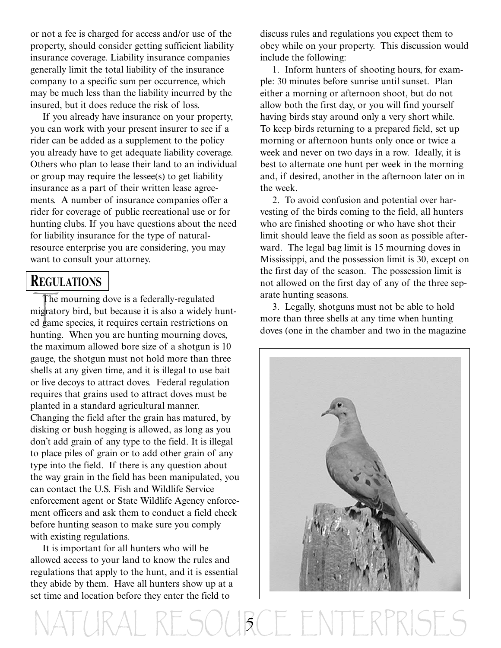or not a fee is charged for access and/or use of the property, should consider getting sufficient liability insurance coverage. Liability insurance companies generally limit the total liability of the insurance company to a specific sum per occurrence, which may be much less than the liability incurred by the insured, but it does reduce the risk of loss.

If you already have insurance on your property, you can work with your present insurer to see if a rider can be added as a supplement to the policy you already have to get adequate liability coverage. Others who plan to lease their land to an individual or group may require the lessee(s) to get liability insurance as a part of their written lease agreements. A number of insurance companies offer a rider for coverage of public recreational use or for hunting clubs. If you have questions about the need for liability insurance for the type of naturalresource enterprise you are considering, you may want to consult your attorney.

#### **REGULATIONS**

The<br>migrato<br>ed gam The mourning dove is a federally-regulated migratory bird, but because it is also a widely hunted game species, it requires certain restrictions on hunting. When you are hunting mourning doves, the maximum allowed bore size of a shotgun is 10 gauge, the shotgun must not hold more than three shells at any given time, and it is illegal to use bait or live decoys to attract doves. Federal regulation requires that grains used to attract doves must be planted in a standard agricultural manner. Changing the field after the grain has matured, by disking or bush hogging is allowed, as long as you don't add grain of any type to the field. It is illegal to place piles of grain or to add other grain of any type into the field. If there is any question about the way grain in the field has been manipulated, you can contact the U.S. Fish and Wildlife Service enforcement agent or State Wildlife Agency enforcement officers and ask them to conduct a field check before hunting season to make sure you comply with existing regulations.

It is important for all hunters who will be allowed access to your land to know the rules and regulations that apply to the hunt, and it is essential they abide by them. Have all hunters show up at a set time and location before they enter the field to

discuss rules and regulations you expect them to obey while on your property. This discussion would include the following:

1. Inform hunters of shooting hours, for example: 30 minutes before sunrise until sunset. Plan either a morning or afternoon shoot, but do not allow both the first day, or you will find yourself having birds stay around only a very short while. To keep birds returning to a prepared field, set up morning or afternoon hunts only once or twice a week and never on two days in a row. Ideally, it is best to alternate one hunt per week in the morning and, if desired, another in the afternoon later on in the week.

2. To avoid confusion and potential over harvesting of the birds coming to the field, all hunters who are finished shooting or who have shot their limit should leave the field as soon as possible afterward. The legal bag limit is 15 mourning doves in Mississippi, and the possession limit is 30, except on the first day of the season. The possession limit is not allowed on the first day of any of the three separate hunting seasons.

3. Legally, shotguns must not be able to hold more than three shells at any time when hunting doves (one in the chamber and two in the magazine



YE SOURCE ENTERI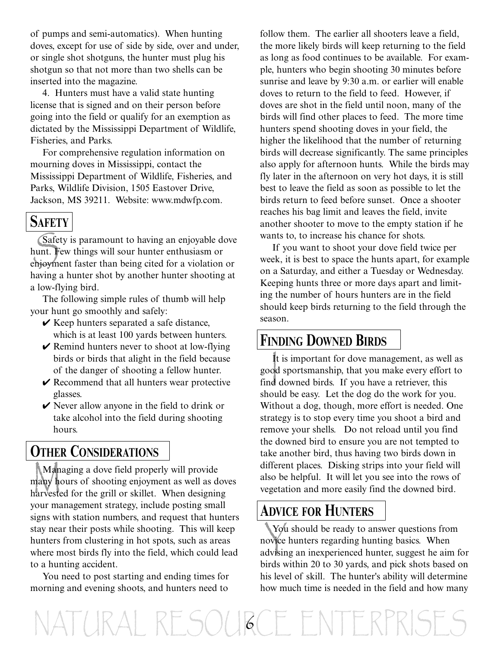of pumps and semi-automatics). When hunting doves, except for use of side by side, over and under, or single shot shotguns, the hunter must plug his shotgun so that not more than two shells can be inserted into the magazine.

4. Hunters must have a valid state hunting license that is signed and on their person before going into the field or qualify for an exemption as dictated by the Mississippi Department of Wildlife, Fisheries, and Parks.

For comprehensive regulation information on mourning doves in Mississippi, contact the Mississippi Department of Wildlife, Fisheries, and Parks, Wildlife Division, 1505 Eastover Drive, Jackson, MS 39211. Website: www.mdwfp.com.

#### **SAFETY**

Safe<br>unt.<br>Phjoym Safety is paramount to having an enjoyable dove hunt. Few things will sour hunter enthusiasm or enjoyment faster than being cited for a violation or having a hunter shot by another hunter shooting at a low-flying bird.

The following simple rules of thumb will help your hunt go smoothly and safely:

- $\vee$  Keep hunters separated a safe distance, which is at least 100 yards between hunters.
- $\vee$  Remind hunters never to shoot at low-flying birds or birds that alight in the field because of the danger of shooting a fellow hunter.
- $\vee$  Recommend that all hunters wear protective glasses.
- $\vee$  Never allow anyone in the field to drink or take alcohol into the field during shooting hours.

#### **OTHER CONSIDERATIONS**

Man<br>nany h<br>narveste Managing a dove field properly will provide many hours of shooting enjoyment as well as doves harvested for the grill or skillet. When designing your management strategy, include posting small signs with station numbers, and request that hunters stay near their posts while shooting. This will keep hunters from clustering in hot spots, such as areas where most birds fly into the field, which could lead to a hunting accident.

You need to post starting and ending times for morning and evening shoots, and hunters need to

follow them. The earlier all shooters leave a field, the more likely birds will keep returning to the field as long as food continues to be available. For example, hunters who begin shooting 30 minutes before sunrise and leave by 9:30 a.m. or earlier will enable doves to return to the field to feed. However, if doves are shot in the field until noon, many of the birds will find other places to feed. The more time hunters spend shooting doves in your field, the higher the likelihood that the number of returning birds will decrease significantly. The same principles also apply for afternoon hunts. While the birds may fly later in the afternoon on very hot days, it is still best to leave the field as soon as possible to let the birds return to feed before sunset. Once a shooter reaches his bag limit and leaves the field, invite another shooter to move to the empty station if he wants to, to increase his chance for shots.

If you want to shoot your dove field twice per week, it is best to space the hunts apart, for example on a Saturday, and either a Tuesday or Wednesday. Keeping hunts three or more days apart and limiting the number of hours hunters are in the field should keep birds returning to the field through the season.

#### **FINDING DOWNED BIRDS**

It<br>oc<br>d It is important for dove management, as well as good sportsmanship, that you make every effort to find downed birds. If you have a retriever, this should be easy. Let the dog do the work for you. Without a dog, though, more effort is needed. One strategy is to stop every time you shoot a bird and remove your shells. Do not reload until you find the downed bird to ensure you are not tempted to take another bird, thus having two birds down in different places. Disking strips into your field will also be helpful. It will let you see into the rows of vegetation and more easily find the downed bird.

### **ADVICE FOR HUNTERS**

You<br>
ovice<br>
dvisin You should be ready to answer questions from novice hunters regarding hunting basics. When advising an inexperienced hunter, suggest he aim for birds within 20 to 30 yards, and pick shots based on his level of skill. The hunter's ability will determine how much time is needed in the field and how many

NATURAL RESOUGCE ENTERPRIS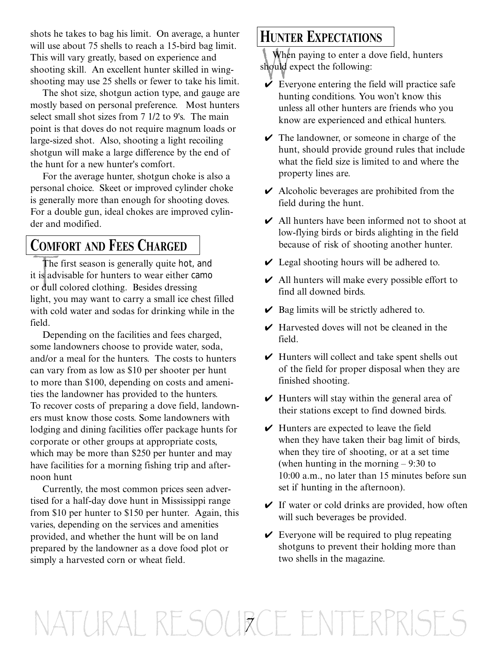shots he takes to bag his limit. On average, a hunter will use about 75 shells to reach a 15-bird bag limit. This will vary greatly, based on experience and shooting skill. An excellent hunter skilled in wingshooting may use 25 shells or fewer to take his limit.

The shot size, shotgun action type, and gauge are mostly based on personal preference. Most hunters select small shot sizes from 7 1/2 to 9's. The main point is that doves do not require magnum loads or large-sized shot. Also, shooting a light recoiling shotgun will make a large difference by the end of the hunt for a new hunter's comfort.

For the average hunter, shotgun choke is also a personal choice. Skeet or improved cylinder choke is generally more than enough for shooting doves. For a double gun, ideal chokes are improved cylinder and modified.

#### **COMFORT AND FEES CHARGED**

The<br>t is adv<br>or dull The first season is generally quite hot, and it is advisable for hunters to wear either camo or dull colored clothing. Besides dressing light, you may want to carry a small ice chest filled with cold water and sodas for drinking while in the field.

Depending on the facilities and fees charged, some landowners choose to provide water, soda, and/or a meal for the hunters. The costs to hunters can vary from as low as \$10 per shooter per hunt to more than \$100, depending on costs and amenities the landowner has provided to the hunters. To recover costs of preparing a dove field, landowners must know those costs. Some landowners with lodging and dining facilities offer package hunts for corporate or other groups at appropriate costs, which may be more than \$250 per hunter and may have facilities for a morning fishing trip and afternoon hunt

Currently, the most common prices seen advertised for a half-day dove hunt in Mississippi range from \$10 per hunter to \$150 per hunter. Again, this varies, depending on the services and amenities provided, and whether the hunt will be on land prepared by the landowner as a dove food plot or simply a harvested corn or wheat field.

#### **HUNTER EXPECTATIONS**

Whe<br>Blould When paying to enter a dove field, hunters should expect the following:

- $\overrightarrow{V}$  Everyone entering the field will practice safe hunting conditions. You won't know this unless all other hunters are friends who you know are experienced and ethical hunters.
- $\vee$  The landowner, or someone in charge of the hunt, should provide ground rules that include what the field size is limited to and where the property lines are.
- $\vee$  Alcoholic beverages are prohibited from the field during the hunt.
- $\vee$  All hunters have been informed not to shoot at low-flying birds or birds alighting in the field because of risk of shooting another hunter.
- $\vee$  Legal shooting hours will be adhered to.
- $\vee$  All hunters will make every possible effort to find all downed birds.
- $\vee$  Bag limits will be strictly adhered to.
- $\vee$  Harvested doves will not be cleaned in the field.
- $\vee$  Hunters will collect and take spent shells out of the field for proper disposal when they are finished shooting.
- $\vee$  Hunters will stay within the general area of their stations except to find downed birds.
- $\vee$  Hunters are expected to leave the field when they have taken their bag limit of birds, when they tire of shooting, or at a set time (when hunting in the morning – 9:30 to 10:00 a.m., no later than 15 minutes before sun set if hunting in the afternoon).
- $\vee$  If water or cold drinks are provided, how often will such beverages be provided.
- $\vee$  Everyone will be required to plug repeating shotguns to prevent their holding more than two shells in the magazine.

# NATURAL RESOURCE ENTERPRISES 7